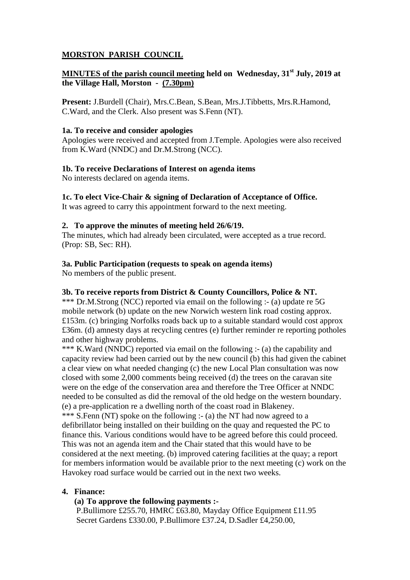# **MORSTON PARISH COUNCIL**

# **MINUTES of the parish council meeting held on Wednesday, 31st July, 2019 at the Village Hall, Morston - (7.30pm)**

**Present:** J.Burdell (Chair), Mrs.C.Bean, S.Bean, Mrs.J.Tibbetts, Mrs.R.Hamond, C.Ward, and the Clerk. Also present was S.Fenn (NT).

## **1a. To receive and consider apologies**

Apologies were received and accepted from J.Temple. Apologies were also received from K.Ward (NNDC) and Dr.M.Strong (NCC).

## **1b. To receive Declarations of Interest on agenda items**

No interests declared on agenda items.

## **1c. To elect Vice-Chair & signing of Declaration of Acceptance of Office.**

It was agreed to carry this appointment forward to the next meeting.

#### **2. To approve the minutes of meeting held 26/6/19.**

The minutes, which had already been circulated, were accepted as a true record. (Prop: SB, Sec: RH).

## **3a. Public Participation (requests to speak on agenda items)**

No members of the public present.

## **3b. To receive reports from District & County Councillors, Police & NT.**

\*\*\* Dr.M.Strong (NCC) reported via email on the following :- (a) update re 5G mobile network (b) update on the new Norwich western link road costing approx. £153m. (c) bringing Norfolks roads back up to a suitable standard would cost approx £36m. (d) amnesty days at recycling centres (e) further reminder re reporting potholes and other highway problems.

\*\*\* K.Ward (NNDC) reported via email on the following :- (a) the capability and capacity review had been carried out by the new council (b) this had given the cabinet a clear view on what needed changing (c) the new Local Plan consultation was now closed with some 2,000 comments being received (d) the trees on the caravan site were on the edge of the conservation area and therefore the Tree Officer at NNDC needed to be consulted as did the removal of the old hedge on the western boundary. (e) a pre-application re a dwelling north of the coast road in Blakeney. \*\*\* S.Fenn (NT) spoke on the following :- (a) the NT had now agreed to a defibrillator being installed on their building on the quay and requested the PC to finance this. Various conditions would have to be agreed before this could proceed. This was not an agenda item and the Chair stated that this would have to be

considered at the next meeting. (b) improved catering facilities at the quay; a report for members information would be available prior to the next meeting (c) work on the Havokey road surface would be carried out in the next two weeks.

## **4. Finance:**

## **(a) To approve the following payments :-**

P.Bullimore £255.70, HMRC £63.80, Mayday Office Equipment £11.95 Secret Gardens £330.00, P.Bullimore £37.24, D.Sadler £4,250.00,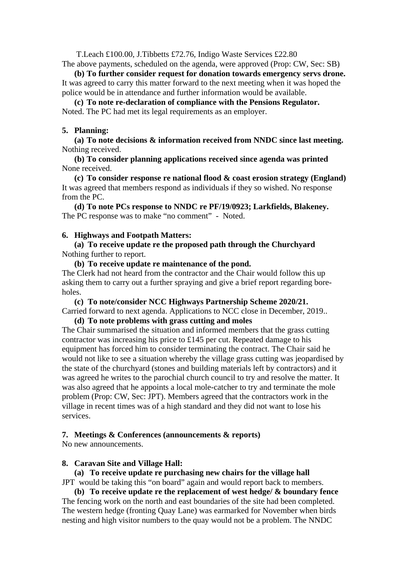T.Leach £100.00, J.Tibbetts £72.76, Indigo Waste Services £22.80

The above payments, scheduled on the agenda, were approved (Prop: CW, Sec: SB)

**(b) To further consider request for donation towards emergency servs drone.**  It was agreed to carry this matter forward to the next meeting when it was hoped the police would be in attendance and further information would be available.

**(c) To note re-declaration of compliance with the Pensions Regulator.**  Noted. The PC had met its legal requirements as an employer.

#### **5. Planning:**

**(a) To note decisions & information received from NNDC since last meeting.**  Nothing received.

**(b) To consider planning applications received since agenda was printed**  None received.

**(c) To consider response re national flood & coast erosion strategy (England)**  It was agreed that members respond as individuals if they so wished. No response from the PC.

**(d) To note PCs response to NNDC re PF/19/0923; Larkfields, Blakeney.**  The PC response was to make "no comment" - Noted.

#### **6. Highways and Footpath Matters:**

**(a) To receive update re the proposed path through the Churchyard**  Nothing further to report.

## **(b) To receive update re maintenance of the pond.**

The Clerk had not heard from the contractor and the Chair would follow this up asking them to carry out a further spraying and give a brief report regarding boreholes.

**(c) To note/consider NCC Highways Partnership Scheme 2020/21.** 

Carried forward to next agenda. Applications to NCC close in December, 2019..

**(d) To note problems with grass cutting and moles** 

The Chair summarised the situation and informed members that the grass cutting contractor was increasing his price to £145 per cut. Repeated damage to his equipment has forced him to consider terminating the contract. The Chair said he would not like to see a situation whereby the village grass cutting was jeopardised by the state of the churchyard (stones and building materials left by contractors) and it was agreed he writes to the parochial church council to try and resolve the matter. It was also agreed that he appoints a local mole-catcher to try and terminate the mole problem (Prop: CW, Sec: JPT). Members agreed that the contractors work in the village in recent times was of a high standard and they did not want to lose his services.

## **7. Meetings & Conferences (announcements & reports)**

No new announcements.

## **8. Caravan Site and Village Hall:**

**(a) To receive update re purchasing new chairs for the village hall**  JPT would be taking this "on board" again and would report back to members.

**(b) To receive update re the replacement of west hedge/ & boundary fence**  The fencing work on the north and east boundaries of the site had been completed. The western hedge (fronting Quay Lane) was earmarked for November when birds nesting and high visitor numbers to the quay would not be a problem. The NNDC